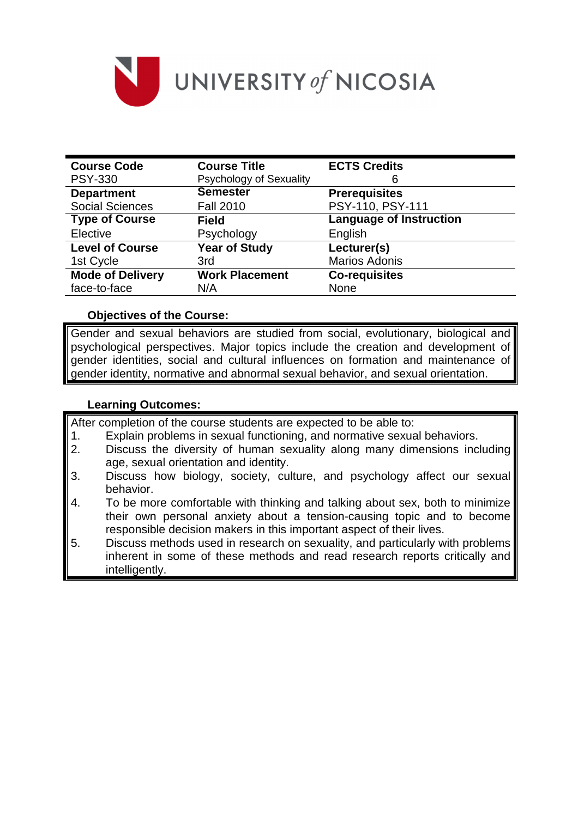

| <b>Course Code</b>      | <b>Course Title</b>            | <b>ECTS Credits</b>            |  |
|-------------------------|--------------------------------|--------------------------------|--|
| <b>PSY-330</b>          | <b>Psychology of Sexuality</b> | 6                              |  |
| <b>Department</b>       | <b>Semester</b>                | <b>Prerequisites</b>           |  |
| <b>Social Sciences</b>  | <b>Fall 2010</b>               | PSY-110, PSY-111               |  |
| <b>Type of Course</b>   | <b>Field</b>                   | <b>Language of Instruction</b> |  |
| Elective                | Psychology                     | English                        |  |
| <b>Level of Course</b>  | <b>Year of Study</b>           | Lecturer(s)                    |  |
| 1st Cycle               | 3rd                            | <b>Marios Adonis</b>           |  |
| <b>Mode of Delivery</b> | <b>Work Placement</b>          | <b>Co-requisites</b>           |  |
| face-to-face            | N/A                            | <b>None</b>                    |  |

#### **Objectives of the Course:**

Gender and sexual behaviors are studied from social, evolutionary, biological and psychological perspectives. Major topics include the creation and development of gender identities, social and cultural influences on formation and maintenance of gender identity, normative and abnormal sexual behavior, and sexual orientation.

#### **Learning Outcomes:**

After completion of the course students are expected to be able to:

- 1. Explain problems in sexual functioning, and normative sexual behaviors.
- 2. Discuss the diversity of human sexuality along many dimensions including age, sexual orientation and identity.
- 3. Discuss how biology, society, culture, and psychology affect our sexual behavior.
- 4. To be more comfortable with thinking and talking about sex, both to minimize their own personal anxiety about a tension-causing topic and to become responsible decision makers in this important aspect of their lives.
- 5. Discuss methods used in research on sexuality, and particularly with problems inherent in some of these methods and read research reports critically and intelligently.